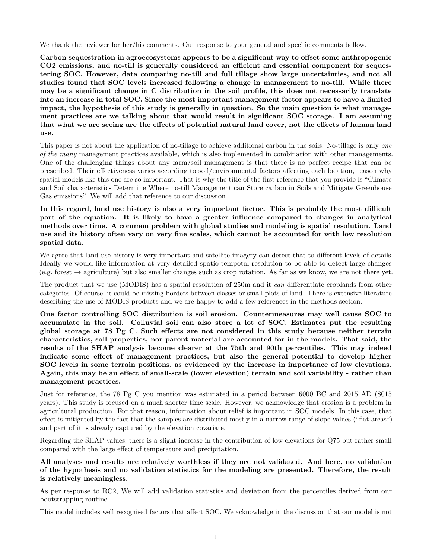We thank the reviewer for her/his comments. Our response to your general and specific comments bellow.

**Carbon sequestration in agroecosystems appears to be a significant way to offset some anthropogenic CO2 emissions, and no-till is generally considered an efficient and essential component for sequestering SOC. However, data comparing no-till and full tillage show large uncertainties, and not all studies found that SOC levels increased following a change in management to no-till. While there may be a significant change in C distribution in the soil profile, this does not necessarily translate into an increase in total SOC. Since the most important management factor appears to have a limited impact, the hypothesis of this study is generally in question. So the main question is what management practices are we talking about that would result in significant SOC storage. I am assuming that what we are seeing are the effects of potential natural land cover, not the effects of human land use.**

This paper is not about the application of no-tillage to achieve additional carbon in the soils. No-tillage is only *one of the many* management practices available, which is also implemented in combination with other managements. One of the challenging things about any farm/soil management is that there is no perfect recipe that can be prescribed. Their effectiveness varies according to soil/environmental factors affecting each location, reason why spatial models like this one are so important. That is why the title of the first reference that you provide is "Climate and Soil characteristics Determine Where no-till Management can Store carbon in Soils and Mitigate Greenhouse Gas emissions". We will add that reference to our discussion.

**In this regard, land use history is also a very important factor. This is probably the most difficult part of the equation. It is likely to have a greater influence compared to changes in analytical methods over time. A common problem with global studies and modeling is spatial resolution. Land use and its history often vary on very fine scales, which cannot be accounted for with low resolution spatial data.**

We agree that land use history is very important and satellite imagery can detect that to different levels of details. Ideally we would like information at very detailed spatio-tempotal resolution to be able to detect large changes  $(e.g. forest \rightarrow agriculture)$  but also smaller changes such as crop rotation. As far as we know, we are not there yet.

The product that we use (MODIS) has a spatial resolution of 250m and it *can* differentiate croplands from other categories. Of course, it could be missing borders between classes or small plots of land. There is extensive literature describing the use of MODIS products and we are happy to add a few references in the methods section.

**One factor controlling SOC distribution is soil erosion. Countermeasures may well cause SOC to accumulate in the soil. Colluvial soil can also store a lot of SOC. Estimates put the resulting global storage at 78 Pg C. Such effects are not considered in this study because neither terrain characteristics, soil properties, nor parent material are accounted for in the models. That said, the results of the SHAP analysis become clearer at the 75th and 90th percentiles. This may indeed indicate some effect of management practices, but also the general potential to develop higher SOC levels in some terrain positions, as evidenced by the increase in importance of low elevations. Again, this may be an effect of small-scale (lower elevation) terrain and soil variability - rather than management practices.**

Just for reference, the 78 Pg C you mention was estimated in a period between 6000 BC and 2015 AD (8015 years). This study is focused on a much shorter time scale. However, we acknowledge that erosion is a problem in agricultural production. For that reason, information about relief is important in SOC models. In this case, that effect is mitigated by the fact that the samples are distributed mostly in a narrow range of slope values ("flat areas") and part of it is already captured by the elevation covariate.

Regarding the SHAP values, there is a slight increase in the contribution of low elevations for Q75 but rather small compared with the large effect of temperature and precipitation.

**All analyses and results are relatively worthless if they are not validated. And here, no validation of the hypothesis and no validation statistics for the modeling are presented. Therefore, the result is relatively meaningless.**

As per response to RC2, We will add validation statistics and deviation from the percentiles derived from our bootstrapping routine.

This model includes well recognised factors that affect SOC. We acknowledge in the discussion that our model is not